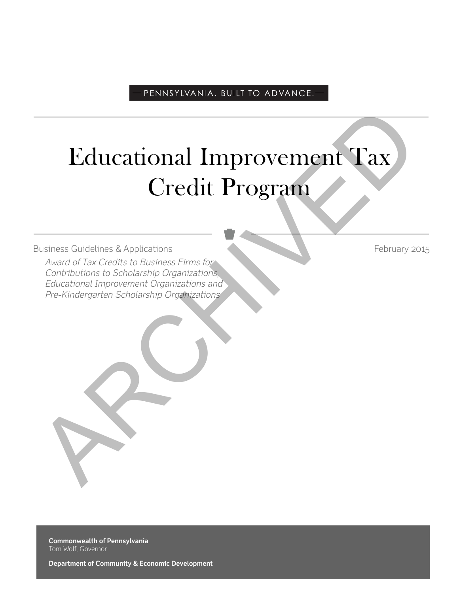# -PENNSYLVANIA. BUILT TO ADVANCE.

# Educational Improvement Tax Credit Program Educational Improvement Tax<br>
Credit Program<br>
Award of Tax Credits to Austrage Firms for<br>
Award of Tax Credits to Austrage Firms for<br>
Centrational Improvement Organizations<br>
Free-Kindergarten Scholarship Organizations<br>
Free

Business Guidelines & Applications February 2015

Award of Tax Credits to Business Firms for Contributions to Scholarship Organizations, Educational Improvement Organizations and Pre-Kindergarten Scholarship Organizations

**Commonwealth of Pennsylvania** Tom Wolf, Governor

**Department of Community & Economic Development**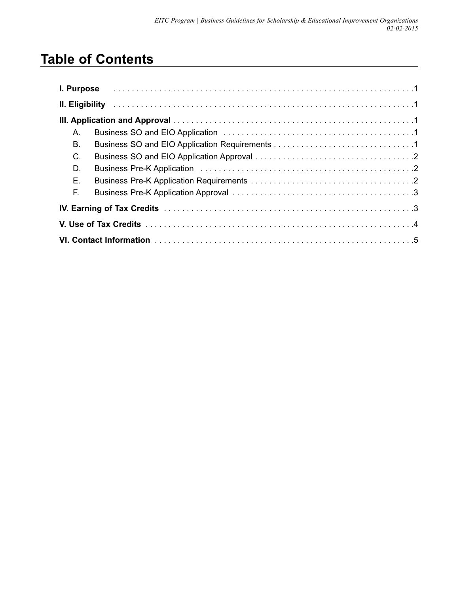# **Table of Contents**

| Α. |  |
|----|--|
| В. |  |
| C. |  |
| D. |  |
| Ε. |  |
| E. |  |
|    |  |
|    |  |
|    |  |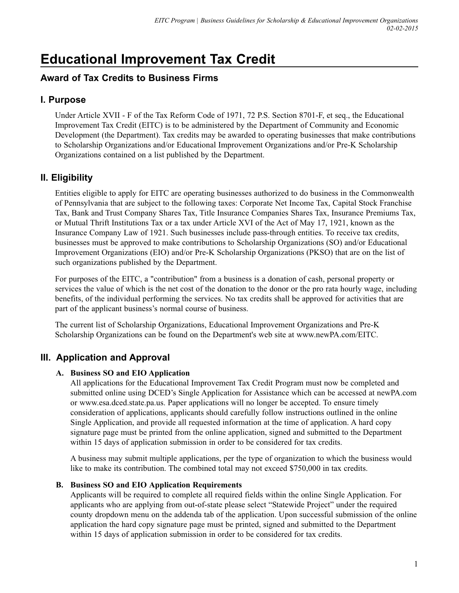# **Educational Improvement Tax Credit**

# **Award of Tax Credits to Business Firms**

# **I. Purpose**

Under Article XVII - F of the Tax Reform Code of 1971, 72 P.S. Section 8701-F, et seq., the Educational Improvement Tax Credit (EITC) is to be administered by the Department of Community and Economic Development (the Department). Tax credits may be awarded to operating businesses that make contributions to Scholarship Organizations and/or Educational Improvement Organizations and/or Pre-K Scholarship Organizations contained on a list published by the Department.

# **II. Eligibility**

Entities eligible to apply for EITC are operating businesses authorized to do business in the Commonwealth of Pennsylvania that are subject to the following taxes: Corporate Net Income Tax, Capital Stock Franchise Tax, Bank and Trust Company Shares Tax, Title Insurance Companies Shares Tax, Insurance Premiums Tax, or Mutual Thrift Institutions Tax or a tax under Article XVI of the Act of May 17, 1921, known as the Insurance Company Law of 1921. Such businesses include pass-through entities. To receive tax credits, businesses must be approved to make contributions to Scholarship Organizations (SO) and/or Educational Improvement Organizations (EIO) and/or Pre-K Scholarship Organizations (PKSO) that are on the list of such organizations published by the Department.

For purposes of the EITC, a "contribution" from a business is a donation of cash, personal property or services the value of which is the net cost of the donation to the donor or the pro rata hourly wage, including benefits, of the individual performing the services. No tax credits shall be approved for activities that are part of the applicant business's normal course of business.

The current list of Scholarship Organizations, Educational Improvement Organizations and Pre-K Scholarship Organizations can be found on the Department's web site at www.newPA.com/EITC.

# **III. Application and Approval**

#### **A. Business SO and EIO Application**

All applications for the Educational Improvement Tax Credit Program must now be completed and submitted online using DCED's Single Application for Assistance which can be accessed at newPA.com or www.esa.dced.state.pa.us. Paper applications will no longer be accepted. To ensure timely consideration of applications, applicants should carefully follow instructions outlined in the online Single Application, and provide all requested information at the time of application. A hard copy signature page must be printed from the online application, signed and submitted to the Department within 15 days of application submission in order to be considered for tax credits.

A business may submit multiple applications, per the type of organization to which the business would like to make its contribution. The combined total may not exceed \$750,000 in tax credits.

#### **B. Business SO and EIO Application Requirements**

Applicants will be required to complete all required fields within the online Single Application. For applicants who are applying from out-of-state please select "Statewide Project" under the required county dropdown menu on the addenda tab of the application. Upon successful submission of the online application the hard copy signature page must be printed, signed and submitted to the Department within 15 days of application submission in order to be considered for tax credits.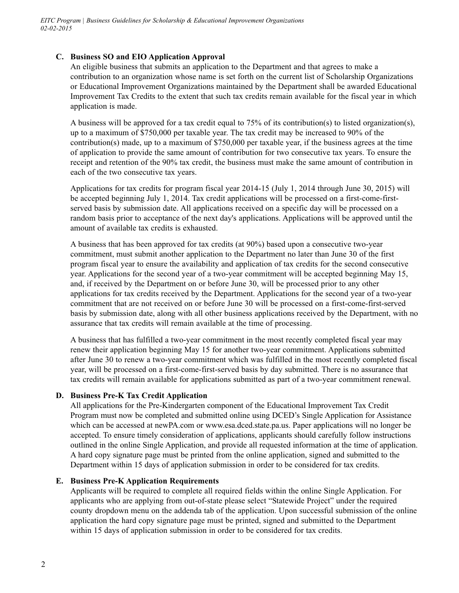#### **C. Business SO and EIO Application Approval**

An eligible business that submits an application to the Department and that agrees to make a contribution to an organization whose name is set forth on the current list of Scholarship Organizations or Educational Improvement Organizations maintained by the Department shall be awarded Educational Improvement Tax Credits to the extent that such tax credits remain available for the fiscal year in which application is made.

A business will be approved for a tax credit equal to  $75\%$  of its contribution(s) to listed organization(s), up to a maximum of \$750,000 per taxable year. The tax credit may be increased to 90% of the contribution(s) made, up to a maximum of \$750,000 per taxable year, if the business agrees at the time of application to provide the same amount of contribution for two consecutive tax years. To ensure the receipt and retention of the 90% tax credit, the business must make the same amount of contribution in each of the two consecutive tax years.

Applications for tax credits for program fiscal year 2014-15 (July 1, 2014 through June 30, 2015) will be accepted beginning July 1, 2014. Tax credit applications will be processed on a first-come-firstserved basis by submission date. All applications received on a specific day will be processed on a random basis prior to acceptance of the next day's applications. Applications will be approved until the amount of available tax credits is exhausted.

A business that has been approved for tax credits (at 90%) based upon a consecutive two-year commitment, must submit another application to the Department no later than June 30 of the first program fiscal year to ensure the availability and application of tax credits for the second consecutive year. Applications for the second year of a two-year commitment will be accepted beginning May 15, and, if received by the Department on or before June 30, will be processed prior to any other applications for tax credits received by the Department. Applications for the second year of a two-year commitment that are not received on or before June 30 will be processed on a first-come-first-served basis by submission date, along with all other business applications received by the Department, with no assurance that tax credits will remain available at the time of processing.

A business that has fulfilled a two-year commitment in the most recently completed fiscal year may renew their application beginning May 15 for another two-year commitment. Applications submitted after June 30 to renew a two-year commitment which was fulfilled in the most recently completed fiscal year, will be processed on a first-come-first-served basis by day submitted. There is no assurance that tax credits will remain available for applications submitted as part of a two-year commitment renewal.

#### **D. Business Pre-K Tax Credit Application**

All applications for the Pre-Kindergarten component of the Educational Improvement Tax Credit Program must now be completed and submitted online using DCED's Single Application for Assistance which can be accessed at newPA.com or www.esa.dced.state.pa.us. Paper applications will no longer be accepted. To ensure timely consideration of applications, applicants should carefully follow instructions outlined in the online Single Application, and provide all requested information at the time of application. A hard copy signature page must be printed from the online application, signed and submitted to the Department within 15 days of application submission in order to be considered for tax credits.

#### **E. Business Pre-K Application Requirements**

Applicants will be required to complete all required fields within the online Single Application. For applicants who are applying from out-of-state please select "Statewide Project" under the required county dropdown menu on the addenda tab of the application. Upon successful submission of the online application the hard copy signature page must be printed, signed and submitted to the Department within 15 days of application submission in order to be considered for tax credits.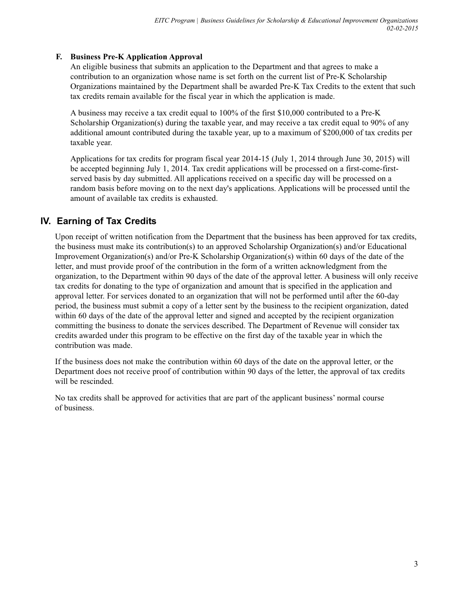#### **F. Business Pre-K Application Approval**

An eligible business that submits an application to the Department and that agrees to make a contribution to an organization whose name is set forth on the current list of Pre-K Scholarship Organizations maintained by the Department shall be awarded Pre-K Tax Credits to the extent that such tax credits remain available for the fiscal year in which the application is made.

A business may receive a tax credit equal to 100% of the first \$10,000 contributed to a Pre-K Scholarship Organization(s) during the taxable year, and may receive a tax credit equal to 90% of any additional amount contributed during the taxable year, up to a maximum of \$200,000 of tax credits per taxable year.

Applications for tax credits for program fiscal year 2014-15 (July 1, 2014 through June 30, 2015) will be accepted beginning July 1, 2014. Tax credit applications will be processed on a first-come-firstserved basis by day submitted. All applications received on a specific day will be processed on a random basis before moving on to the next day's applications. Applications will be processed until the amount of available tax credits is exhausted.

# **IV. Earning of Tax Credits**

Upon receipt of written notification from the Department that the business has been approved for tax credits, the business must make its contribution(s) to an approved Scholarship Organization(s) and/or Educational Improvement Organization(s) and/or Pre-K Scholarship Organization(s) within 60 days of the date of the letter, and must provide proof of the contribution in the form of a written acknowledgment from the organization, to the Department within 90 days of the date of the approval letter. A business will only receive tax credits for donating to the type of organization and amount that is specified in the application and approval letter. For services donated to an organization that will not be performed until after the 60-day period, the business must submit a copy of a letter sent by the business to the recipient organization, dated within 60 days of the date of the approval letter and signed and accepted by the recipient organization committing the business to donate the services described. The Department of Revenue will consider tax credits awarded under this program to be effective on the first day of the taxable year in which the contribution was made.

If the business does not make the contribution within 60 days of the date on the approval letter, or the Department does not receive proof of contribution within 90 days of the letter, the approval of tax credits will be rescinded.

No tax credits shall be approved for activities that are part of the applicant business' normal course of business.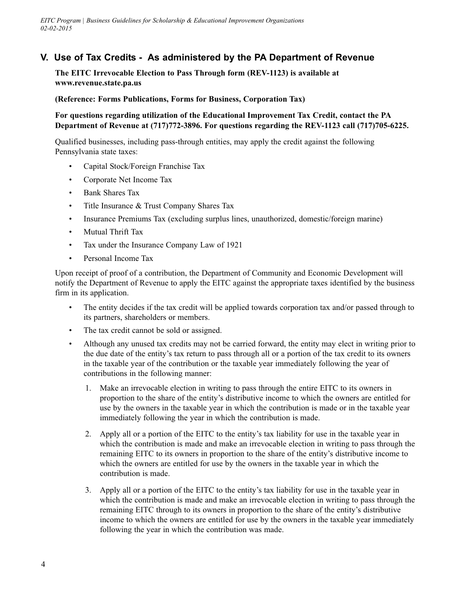## **V. Use of Tax Credits - As administered by the PA Department of Revenue**

**The EITC Irrevocable Election to Pass Through form (REV-1123) is available at www.revenue.state.pa.us**

**(Reference: Forms Publications, Forms for Business, Corporation Tax)**

**For questions regarding utilization of the Educational Improvement Tax Credit, contact the PA Department of Revenue at (717)772-3896. For questions regarding the REV-1123 call (717)705-6225.** 

Qualified businesses, including pass-through entities, may apply the credit against the following Pennsylvania state taxes:

- Capital Stock/Foreign Franchise Tax
- Corporate Net Income Tax
- Bank Shares Tax
- Title Insurance & Trust Company Shares Tax
- Insurance Premiums Tax (excluding surplus lines, unauthorized, domestic/foreign marine)
- Mutual Thrift Tax
- Tax under the Insurance Company Law of 1921
- Personal Income Tax

Upon receipt of proof of a contribution, the Department of Community and Economic Development will notify the Department of Revenue to apply the EITC against the appropriate taxes identified by the business firm in its application.

- The entity decides if the tax credit will be applied towards corporation tax and/or passed through to its partners, shareholders or members.
- The tax credit cannot be sold or assigned.
- Although any unused tax credits may not be carried forward, the entity may elect in writing prior to the due date of the entity's tax return to pass through all or a portion of the tax credit to its owners in the taxable year of the contribution or the taxable year immediately following the year of contributions in the following manner:
	- 1. Make an irrevocable election in writing to pass through the entire EITC to its owners in proportion to the share of the entity's distributive income to which the owners are entitled for use by the owners in the taxable year in which the contribution is made or in the taxable year immediately following the year in which the contribution is made.
	- 2. Apply all or a portion of the EITC to the entity's tax liability for use in the taxable year in which the contribution is made and make an irrevocable election in writing to pass through the remaining EITC to its owners in proportion to the share of the entity's distributive income to which the owners are entitled for use by the owners in the taxable year in which the contribution is made.
	- 3. Apply all or a portion of the EITC to the entity's tax liability for use in the taxable year in which the contribution is made and make an irrevocable election in writing to pass through the remaining EITC through to its owners in proportion to the share of the entity's distributive income to which the owners are entitled for use by the owners in the taxable year immediately following the year in which the contribution was made.